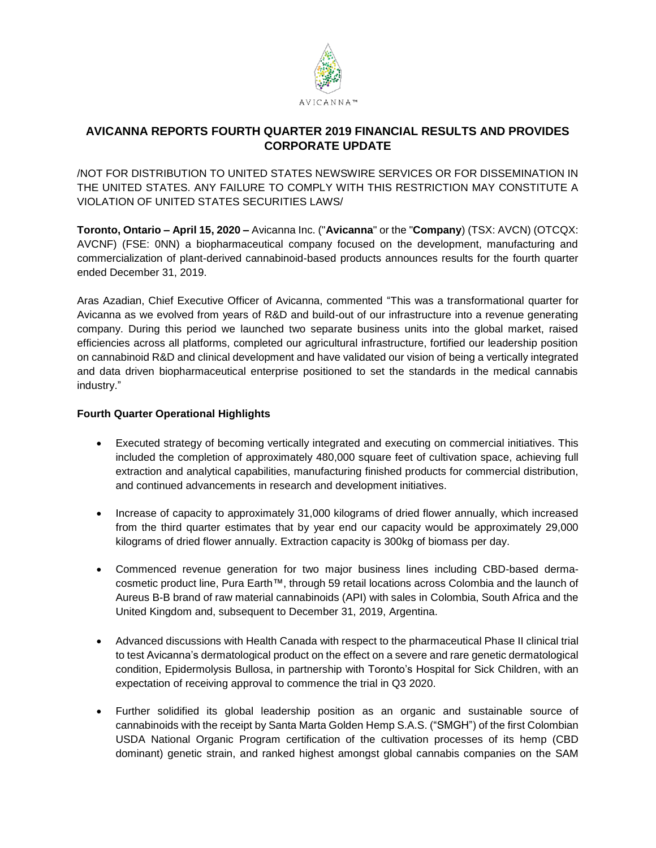

### **AVICANNA REPORTS FOURTH QUARTER 2019 FINANCIAL RESULTS AND PROVIDES CORPORATE UPDATE**

/NOT FOR DISTRIBUTION TO UNITED STATES NEWSWIRE SERVICES OR FOR DISSEMINATION IN THE UNITED STATES. ANY FAILURE TO COMPLY WITH THIS RESTRICTION MAY CONSTITUTE A VIOLATION OF UNITED STATES SECURITIES LAWS/

**Toronto, Ontario – April 15, 2020 –** Avicanna Inc. ("**Avicanna**" or the "**Company**) (TSX: AVCN) (OTCQX: AVCNF) (FSE: 0NN) a biopharmaceutical company focused on the development, manufacturing and commercialization of plant-derived cannabinoid-based products announces results for the fourth quarter ended December 31, 2019.

Aras Azadian, Chief Executive Officer of Avicanna, commented "This was a transformational quarter for Avicanna as we evolved from years of R&D and build-out of our infrastructure into a revenue generating company. During this period we launched two separate business units into the global market, raised efficiencies across all platforms, completed our agricultural infrastructure, fortified our leadership position on cannabinoid R&D and clinical development and have validated our vision of being a vertically integrated and data driven biopharmaceutical enterprise positioned to set the standards in the medical cannabis industry."

#### **Fourth Quarter Operational Highlights**

- Executed strategy of becoming vertically integrated and executing on commercial initiatives. This included the completion of approximately 480,000 square feet of cultivation space, achieving full extraction and analytical capabilities, manufacturing finished products for commercial distribution, and continued advancements in research and development initiatives.
- Increase of capacity to approximately 31,000 kilograms of dried flower annually, which increased from the third quarter estimates that by year end our capacity would be approximately 29,000 kilograms of dried flower annually. Extraction capacity is 300kg of biomass per day.
- Commenced revenue generation for two major business lines including CBD-based dermacosmetic product line, Pura Earth™, through 59 retail locations across Colombia and the launch of Aureus B-B brand of raw material cannabinoids (API) with sales in Colombia, South Africa and the United Kingdom and, subsequent to December 31, 2019, Argentina.
- Advanced discussions with Health Canada with respect to the pharmaceutical Phase II clinical trial to test Avicanna's dermatological product on the effect on a severe and rare genetic dermatological condition, Epidermolysis Bullosa, in partnership with Toronto's Hospital for Sick Children, with an expectation of receiving approval to commence the trial in Q3 2020.
- Further solidified its global leadership position as an organic and sustainable source of cannabinoids with the receipt by Santa Marta Golden Hemp S.A.S. ("SMGH") of the first Colombian USDA National Organic Program certification of the cultivation processes of its hemp (CBD dominant) genetic strain, and ranked highest amongst global cannabis companies on the SAM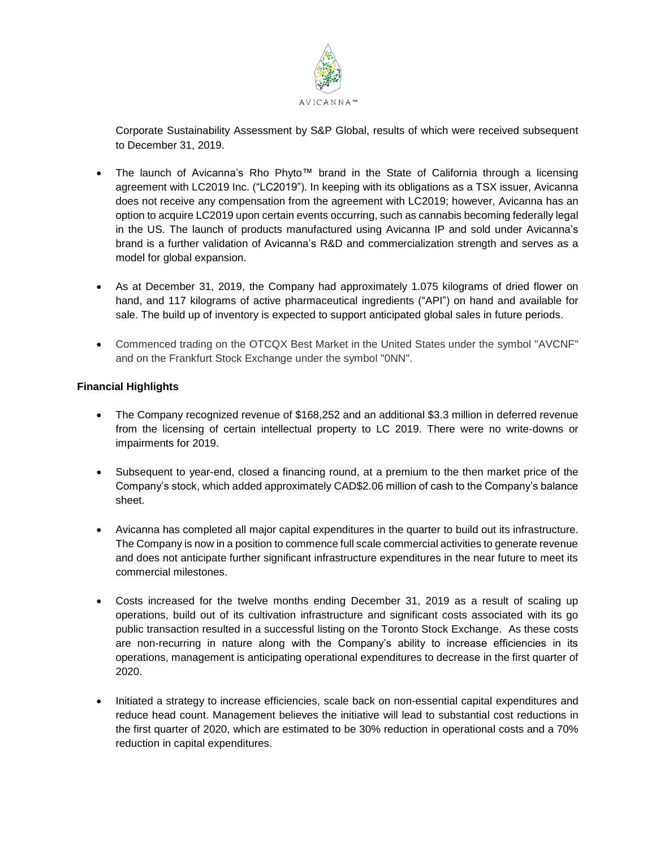

Corporate Sustainability Assessment by S&P Global, results of which were received subsequent to December 31, 2019.

- The launch of Avicanna's Rho Phyto™ brand in the State of California through a licensing agreement with LC2019 Inc. ("LC2019"). In keeping with its obligations as a TSX issuer, Avicanna does not receive any compensation from the agreement with LC2019; however, Avicanna has an option to acquire LC2019 upon certain events occurring, such as cannabis becoming federally legal in the US. The launch of products manufactured using Avicanna IP and sold under Avicanna's brand is a further validation of Avicanna's R&D and commercialization strength and serves as a model for global expansion.
- As at December 31, 2019, the Company had approximately 1.075 kilograms of dried flower on hand, and 117 kilograms of active pharmaceutical ingredients ("API") on hand and available for sale. The build up of inventory is expected to support anticipated global sales in future periods.
- Commenced trading on the OTCQX Best Market in the United States under the symbol "AVCNF" and on the Frankfurt Stock Exchange under the symbol "0NN".

#### **Financial Highlights**

- The Company recognized revenue of \$168,252 and an additional \$3.3 million in deferred revenue from the licensing of certain intellectual property to LC 2019. There were no write-downs or impairments for 2019.
- Subsequent to year-end, closed a financing round, at a premium to the then market price of the Company's stock, which added approximately CAD\$2.06 million of cash to the Company's balance sheet.
- Avicanna has completed all major capital expenditures in the quarter to build out its infrastructure. The Company is now in a position to commence full scale commercial activities to generate revenue and does not anticipate further significant infrastructure expenditures in the near future to meet its commercial milestones.
- Costs increased for the twelve months ending December 31, 2019 as a result of scaling up operations, build out of its cultivation infrastructure and significant costs associated with its go public transaction resulted in a successful listing on the Toronto Stock Exchange. As these costs are non-recurring in nature along with the Company's ability to increase efficiencies in its operations, management is anticipating operational expenditures to decrease in the first quarter of 2020.
- Initiated a strategy to increase efficiencies, scale back on non-essential capital expenditures and reduce head count. Management believes the initiative will lead to substantial cost reductions in the first quarter of 2020, which are estimated to be 30% reduction in operational costs and a 70% reduction in capital expenditures.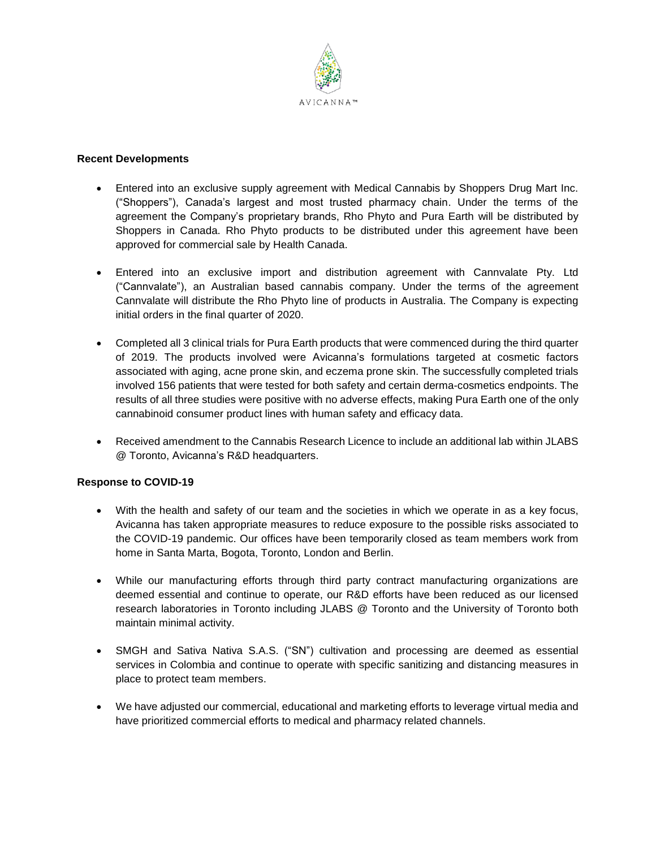

#### **Recent Developments**

- Entered into an exclusive supply agreement with Medical Cannabis by Shoppers Drug Mart Inc. ("Shoppers"), Canada's largest and most trusted pharmacy chain. Under the terms of the agreement the Company's proprietary brands, Rho Phyto and Pura Earth will be distributed by Shoppers in Canada. Rho Phyto products to be distributed under this agreement have been approved for commercial sale by Health Canada.
- Entered into an exclusive import and distribution agreement with Cannvalate Pty. Ltd ("Cannvalate"), an Australian based cannabis company. Under the terms of the agreement Cannvalate will distribute the Rho Phyto line of products in Australia. The Company is expecting initial orders in the final quarter of 2020.
- Completed all 3 clinical trials for Pura Earth products that were commenced during the third quarter of 2019. The products involved were Avicanna's formulations targeted at cosmetic factors associated with aging, acne prone skin, and eczema prone skin. The successfully completed trials involved 156 patients that were tested for both safety and certain derma-cosmetics endpoints. The results of all three studies were positive with no adverse effects, making Pura Earth one of the only cannabinoid consumer product lines with human safety and efficacy data.
- Received amendment to the Cannabis Research Licence to include an additional lab within JLABS @ Toronto, Avicanna's R&D headquarters.

#### **Response to COVID-19**

- With the health and safety of our team and the societies in which we operate in as a key focus, Avicanna has taken appropriate measures to reduce exposure to the possible risks associated to the COVID-19 pandemic. Our offices have been temporarily closed as team members work from home in Santa Marta, Bogota, Toronto, London and Berlin.
- While our manufacturing efforts through third party contract manufacturing organizations are deemed essential and continue to operate, our R&D efforts have been reduced as our licensed research laboratories in Toronto including JLABS @ Toronto and the University of Toronto both maintain minimal activity.
- SMGH and Sativa Nativa S.A.S. ("SN") cultivation and processing are deemed as essential services in Colombia and continue to operate with specific sanitizing and distancing measures in place to protect team members.
- We have adjusted our commercial, educational and marketing efforts to leverage virtual media and have prioritized commercial efforts to medical and pharmacy related channels.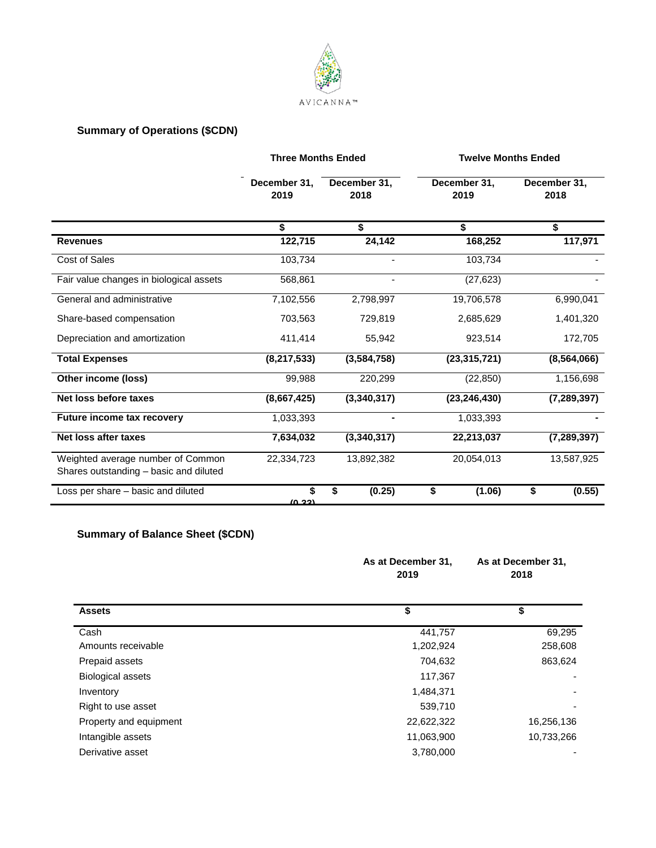

## **Summary of Operations (\$CDN)**

|                                                                             | <b>Three Months Ended</b> |                      | <b>Twelve Months Ended</b> |                      |
|-----------------------------------------------------------------------------|---------------------------|----------------------|----------------------------|----------------------|
|                                                                             | December 31.<br>2019      | December 31,<br>2018 | December 31,<br>2019       | December 31,<br>2018 |
|                                                                             | \$                        | \$                   | \$                         | \$                   |
| <b>Revenues</b>                                                             | 122,715                   | 24,142               | 168,252                    | 117,971              |
| <b>Cost of Sales</b>                                                        | 103,734                   | ۰                    | 103,734                    |                      |
| Fair value changes in biological assets                                     | 568,861                   | ٠                    | (27, 623)                  |                      |
| General and administrative                                                  | 7,102,556                 | 2,798,997            | 19,706,578                 | 6,990,041            |
| Share-based compensation                                                    | 703,563                   | 729,819              | 2,685,629                  | 1,401,320            |
| Depreciation and amortization                                               | 411,414                   | 55,942               | 923,514                    | 172,705              |
| <b>Total Expenses</b>                                                       | (8, 217, 533)             | (3, 584, 758)        | (23, 315, 721)             | (8, 564, 066)        |
| Other income (loss)                                                         | 99,988                    | 220,299              | (22, 850)                  | 1,156,698            |
| Net loss before taxes                                                       | (8,667,425)               | (3,340,317)          | (23, 246, 430)             | (7, 289, 397)        |
| Future income tax recovery                                                  | 1,033,393                 |                      | 1,033,393                  |                      |
| Net loss after taxes                                                        | 7,634,032                 | (3,340,317)          | 22,213,037                 | (7, 289, 397)        |
| Weighted average number of Common<br>Shares outstanding - basic and diluted | 22,334,723                | 13,892,382           | 20,054,013                 | 13,587,925           |
| Loss per share - basic and diluted                                          | \$<br>(0.22)              | \$<br>(0.25)         | \$<br>(1.06)               | \$<br>(0.55)         |

# **Summary of Balance Sheet (\$CDN)**

|                          | As at December 31,<br>2019 | As at December 31,<br>2018 |  |
|--------------------------|----------------------------|----------------------------|--|
| <b>Assets</b>            | \$                         | \$                         |  |
| Cash                     | 441,757                    | 69,295                     |  |
| Amounts receivable       | 1,202,924                  | 258,608                    |  |
| Prepaid assets           | 704,632                    | 863,624                    |  |
| <b>Biological assets</b> | 117,367                    |                            |  |
| Inventory                | 1,484,371                  |                            |  |
| Right to use asset       | 539,710                    |                            |  |
| Property and equipment   | 22,622,322                 | 16,256,136                 |  |
| Intangible assets        | 11,063,900                 | 10,733,266                 |  |
| Derivative asset         | 3,780,000                  |                            |  |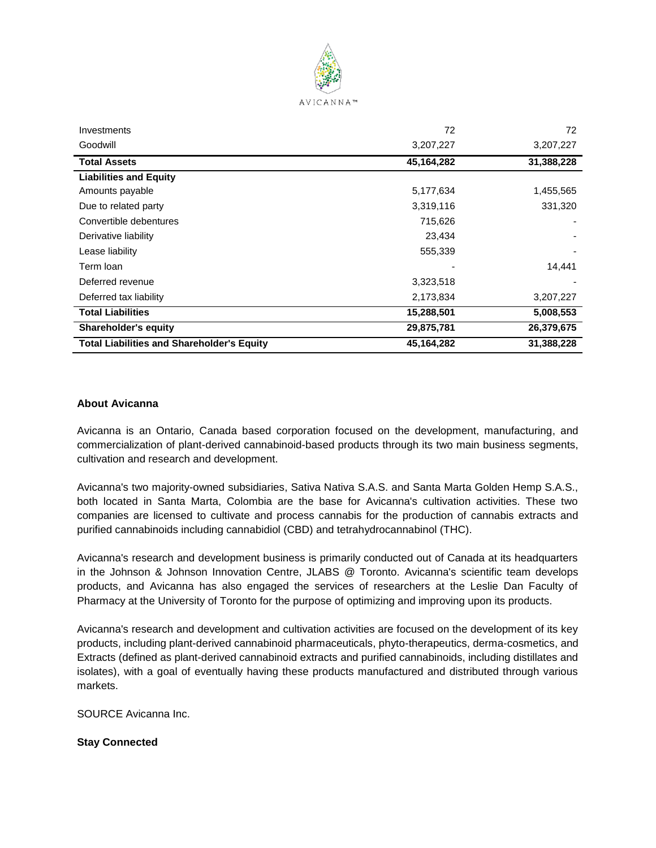

| <b>Shareholder's equity</b><br><b>Total Liabilities and Shareholder's Equity</b> | 29,875,781<br>45,164,282 | 26,379,675<br>31,388,228 |
|----------------------------------------------------------------------------------|--------------------------|--------------------------|
|                                                                                  | 15,288,501               | 5,008,553                |
| <b>Total Liabilities</b>                                                         |                          |                          |
| Deferred tax liability                                                           | 2,173,834                | 3,207,227                |
| Deferred revenue                                                                 | 3,323,518                |                          |
| Term Ioan                                                                        |                          | 14,441                   |
| Lease liability                                                                  | 555,339                  |                          |
| Derivative liability                                                             | 23,434                   |                          |
| Convertible debentures                                                           | 715,626                  |                          |
| Due to related party                                                             | 3,319,116                | 331,320                  |
| Amounts payable                                                                  | 5,177,634                | 1,455,565                |
| <b>Liabilities and Equity</b>                                                    |                          |                          |
| <b>Total Assets</b>                                                              | 45,164,282               | 31,388,228               |
| Goodwill                                                                         | 3,207,227                | 3,207,227                |
| Investments                                                                      | 72                       | 72                       |

#### **About Avicanna**

Avicanna is an Ontario, Canada based corporation focused on the development, manufacturing, and commercialization of plant-derived cannabinoid-based products through its two main business segments, cultivation and research and development.

Avicanna's two majority-owned subsidiaries, Sativa Nativa S.A.S. and Santa Marta Golden Hemp S.A.S., both located in Santa Marta, Colombia are the base for Avicanna's cultivation activities. These two companies are licensed to cultivate and process cannabis for the production of cannabis extracts and purified cannabinoids including cannabidiol (CBD) and tetrahydrocannabinol (THC).

Avicanna's research and development business is primarily conducted out of Canada at its headquarters in the Johnson & Johnson Innovation Centre, JLABS @ Toronto. Avicanna's scientific team develops products, and Avicanna has also engaged the services of researchers at the Leslie Dan Faculty of Pharmacy at the University of Toronto for the purpose of optimizing and improving upon its products.

Avicanna's research and development and cultivation activities are focused on the development of its key products, including plant-derived cannabinoid pharmaceuticals, phyto-therapeutics, derma-cosmetics, and Extracts (defined as plant-derived cannabinoid extracts and purified cannabinoids, including distillates and isolates), with a goal of eventually having these products manufactured and distributed through various markets.

SOURCE Avicanna Inc.

**Stay Connected**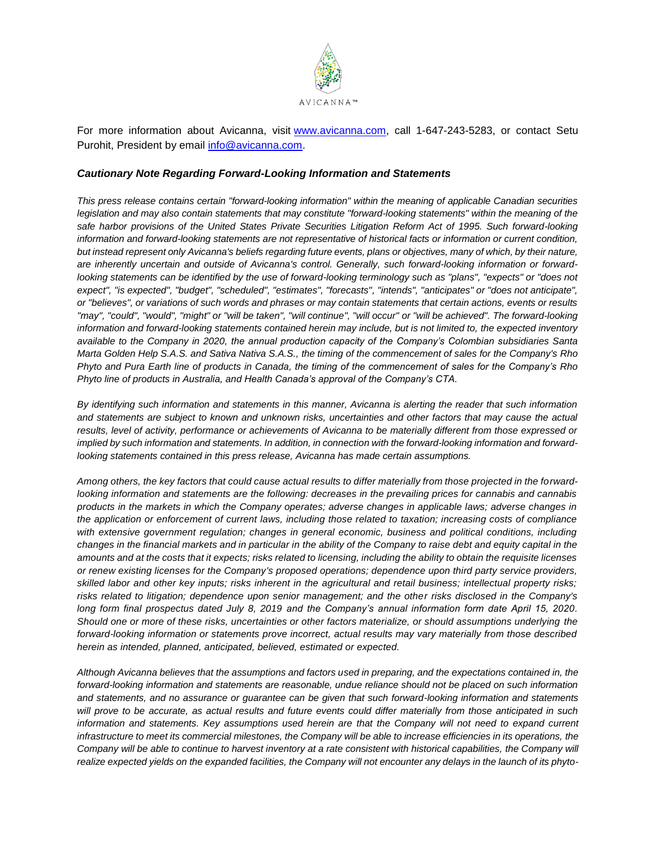

For more information about Avicanna, visit [www.avicanna.com,](http://www.avicanna.com/) call 1-647-243-5283, or contact Setu Purohit, President by email [info@avicanna.com.](mailto:info@avicanna.com)

#### *Cautionary Note Regarding Forward-Looking Information and Statements*

*This press release contains certain "forward-looking information" within the meaning of applicable Canadian securities legislation and may also contain statements that may constitute "forward-looking statements" within the meaning of the* safe harbor provisions of the United States Private Securities Litigation Reform Act of 1995. Such forward-looking *information and forward-looking statements are not representative of historical facts or information or current condition, but instead represent only Avicanna's beliefs regarding future events, plans or objectives, many of which, by their nature, are inherently uncertain and outside of Avicanna's control. Generally, such forward-looking information or forwardlooking statements can be identified by the use of forward-looking terminology such as "plans", "expects" or "does not expect", "is expected", "budget", "scheduled", "estimates", "forecasts", "intends", "anticipates" or "does not anticipate", or "believes", or variations of such words and phrases or may contain statements that certain actions, events or results "may", "could", "would", "might" or "will be taken", "will continue", "will occur" or "will be achieved". The forward-looking information and forward-looking statements contained herein may include, but is not limited to, the expected inventory available to the Company in 2020, the annual production capacity of the Company's Colombian subsidiaries Santa Marta Golden Help S.A.S. and Sativa Nativa S.A.S., the timing of the commencement of sales for the Company's Rho Phyto and Pura Earth line of products in Canada, the timing of the commencement of sales for the Company's Rho Phyto line of products in Australia, and Health Canada's approval of the Company's CTA.*

*By identifying such information and statements in this manner, Avicanna is alerting the reader that such information and statements are subject to known and unknown risks, uncertainties and other factors that may cause the actual results, level of activity, performance or achievements of Avicanna to be materially different from those expressed or implied by such information and statements. In addition, in connection with the forward-looking information and forwardlooking statements contained in this press release, Avicanna has made certain assumptions.*

*Among others, the key factors that could cause actual results to differ materially from those projected in the forwardlooking information and statements are the following: decreases in the prevailing prices for cannabis and cannabis products in the markets in which the Company operates; adverse changes in applicable laws; adverse changes in the application or enforcement of current laws, including those related to taxation; increasing costs of compliance with extensive government regulation; changes in general economic, business and political conditions, including changes in the financial markets and in particular in the ability of the Company to raise debt and equity capital in the amounts and at the costs that it expects; risks related to licensing, including the ability to obtain the requisite licenses or renew existing licenses for the Company's proposed operations; dependence upon third party service providers, skilled labor and other key inputs; risks inherent in the agricultural and retail business; intellectual property risks; risks related to litigation; dependence upon senior management; and the other risks disclosed in the Company's long form final prospectus dated July 8, 2019 and the Company's annual information form date April 15, 2020. Should one or more of these risks, uncertainties or other factors materialize, or should assumptions underlying the forward-looking information or statements prove incorrect, actual results may vary materially from those described herein as intended, planned, anticipated, believed, estimated or expected.*

*Although Avicanna believes that the assumptions and factors used in preparing, and the expectations contained in, the*  forward-looking information and statements are reasonable, undue reliance should not be placed on such information *and statements, and no assurance or guarantee can be given that such forward-looking information and statements will prove to be accurate, as actual results and future events could differ materially from those anticipated in such information and statements. Key assumptions used herein are that the Company will not need to expand current infrastructure to meet its commercial milestones, the Company will be able to increase efficiencies in its operations, the Company will be able to continue to harvest inventory at a rate consistent with historical capabilities, the Company will realize expected yields on the expanded facilities, the Company will not encounter any delays in the launch of its phyto-*